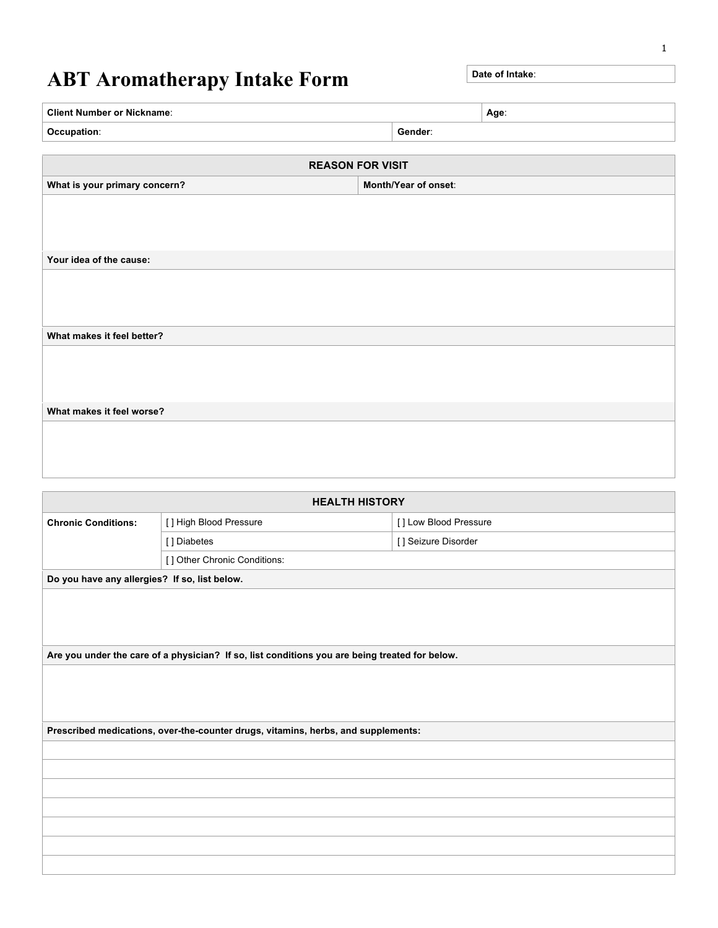## **ABT Aromatherapy Intake Form** Date of Intake:

| <b>Client Number or Nickname:</b> | Age     |  |
|-----------------------------------|---------|--|
| Occupation:                       | Gender: |  |

| <b>REASON FOR VISIT</b>       |                      |  |  |
|-------------------------------|----------------------|--|--|
| What is your primary concern? | Month/Year of onset: |  |  |
|                               |                      |  |  |
|                               |                      |  |  |
|                               |                      |  |  |
| Your idea of the cause:       |                      |  |  |
|                               |                      |  |  |
|                               |                      |  |  |
|                               |                      |  |  |
| What makes it feel better?    |                      |  |  |
|                               |                      |  |  |
|                               |                      |  |  |
|                               |                      |  |  |
| What makes it feel worse?     |                      |  |  |
|                               |                      |  |  |
|                               |                      |  |  |
|                               |                      |  |  |

| <b>HEALTH HISTORY</b>                         |                                                                                                |                       |  |  |
|-----------------------------------------------|------------------------------------------------------------------------------------------------|-----------------------|--|--|
| <b>Chronic Conditions:</b>                    | [] High Blood Pressure                                                                         | [] Low Blood Pressure |  |  |
|                                               | [] Diabetes                                                                                    | [] Seizure Disorder   |  |  |
|                                               | [] Other Chronic Conditions:                                                                   |                       |  |  |
| Do you have any allergies? If so, list below. |                                                                                                |                       |  |  |
|                                               |                                                                                                |                       |  |  |
|                                               |                                                                                                |                       |  |  |
|                                               |                                                                                                |                       |  |  |
|                                               | Are you under the care of a physician? If so, list conditions you are being treated for below. |                       |  |  |
|                                               |                                                                                                |                       |  |  |
|                                               |                                                                                                |                       |  |  |
|                                               |                                                                                                |                       |  |  |
|                                               | Prescribed medications, over-the-counter drugs, vitamins, herbs, and supplements:              |                       |  |  |
|                                               |                                                                                                |                       |  |  |
|                                               |                                                                                                |                       |  |  |
|                                               |                                                                                                |                       |  |  |
|                                               |                                                                                                |                       |  |  |
|                                               |                                                                                                |                       |  |  |
|                                               |                                                                                                |                       |  |  |
|                                               |                                                                                                |                       |  |  |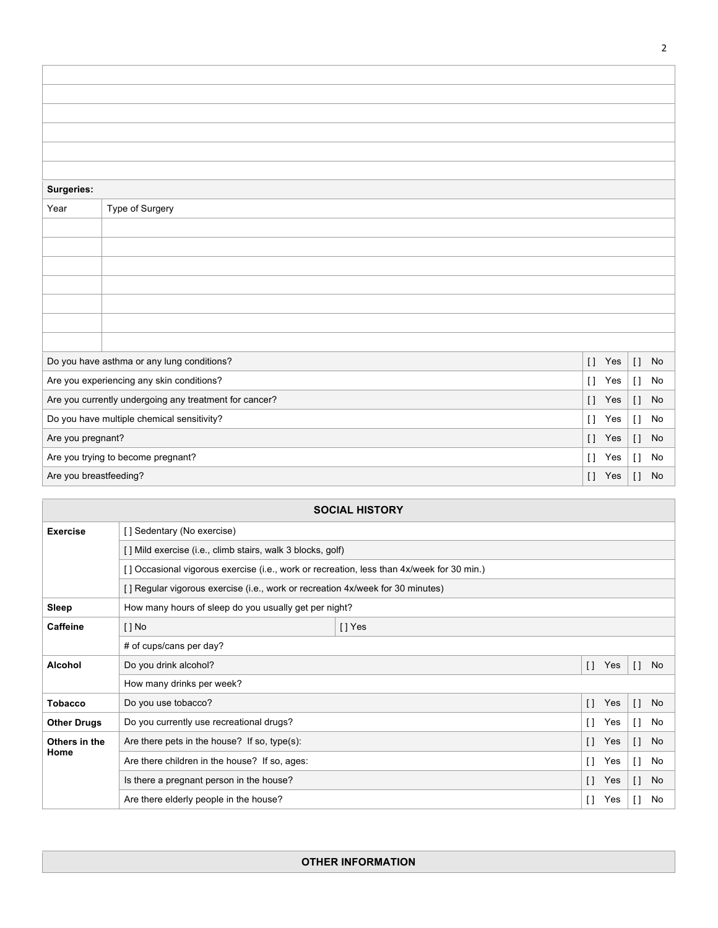| <b>Surgeries:</b>      |                                                        |                     |              |    |  |
|------------------------|--------------------------------------------------------|---------------------|--------------|----|--|
| Year                   | Type of Surgery                                        |                     |              |    |  |
|                        |                                                        |                     |              |    |  |
|                        |                                                        |                     |              |    |  |
|                        |                                                        |                     |              |    |  |
|                        |                                                        |                     |              |    |  |
|                        |                                                        |                     |              |    |  |
|                        |                                                        |                     |              |    |  |
|                        |                                                        |                     |              |    |  |
|                        | Do you have asthma or any lung conditions?             | $[ \ ]$<br>Yes      | $\mathbf{I}$ | No |  |
|                        | Are you experiencing any skin conditions?              | $\lceil$<br>Yes     | $\mathbf{I}$ | No |  |
|                        | Are you currently undergoing any treatment for cancer? | $\mathbf{I}$<br>Yes | $\mathbf{I}$ | No |  |
|                        | Do you have multiple chemical sensitivity?             | $\lceil$<br>Yes     | $\mathbf{I}$ | No |  |
| Are you pregnant?      |                                                        | $\Box$<br>Yes       | $[ \ ]$      | No |  |
|                        | Are you trying to become pregnant?                     | $\Box$<br>Yes       | $[ \ ]$      | No |  |
| Are you breastfeeding? |                                                        | $[ \ ]$<br>Yes      | $[ \ ]$      | No |  |

| <b>SOCIAL HISTORY</b> |                                                                                           |          |                     |                      |
|-----------------------|-------------------------------------------------------------------------------------------|----------|---------------------|----------------------|
| <b>Exercise</b>       | [] Sedentary (No exercise)                                                                |          |                     |                      |
|                       | [] Mild exercise (i.e., climb stairs, walk 3 blocks, golf)                                |          |                     |                      |
|                       | [] Occasional vigorous exercise (i.e., work or recreation, less than 4x/week for 30 min.) |          |                     |                      |
|                       | [] Regular vigorous exercise (i.e., work or recreation 4x/week for 30 minutes)            |          |                     |                      |
| Sleep                 | How many hours of sleep do you usually get per night?                                     |          |                     |                      |
| Caffeine              | $[$   No                                                                                  | $[]$ Yes |                     |                      |
|                       | # of cups/cans per day?                                                                   |          |                     |                      |
| <b>Alcohol</b>        | Do you drink alcohol?                                                                     |          | $\Box$<br>Yes       | <b>No</b><br>$\Box$  |
|                       | How many drinks per week?                                                                 |          |                     |                      |
| <b>Tobacco</b>        | Do you use tobacco?                                                                       |          | $\Box$<br>Yes       | $\Box$<br><b>No</b>  |
| <b>Other Drugs</b>    | Do you currently use recreational drugs?                                                  |          | $\Box$<br>Yes       | No<br>I l            |
| Others in the         | Are there pets in the house? If so, type $(s)$ :                                          |          | $\mathsf{L}$<br>Yes | No<br>$\Box$         |
| Home                  | Are there children in the house? If so, ages:                                             |          | $\mathsf{L}$<br>Yes | No<br>H              |
|                       | Is there a pregnant person in the house?                                                  |          | $\Box$<br>Yes       | No<br>$\mathfrak{g}$ |
|                       | Are there elderly people in the house?                                                    |          | $\Box$<br>Yes       | No<br>H              |